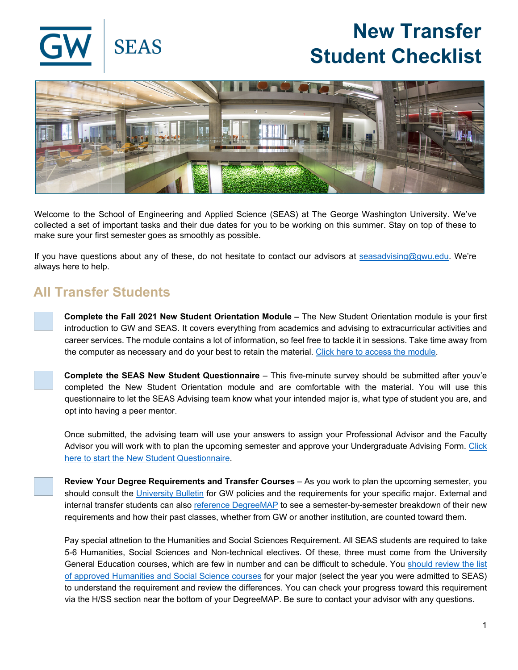

## **New Transfer Student Checklist**



Welcome to the School of Engineering and Applied Science (SEAS) at The George Washington University. We've collected a set of important tasks and their due dates for you to be working on this summer. Stay on top of these to make sure your first semester goes as smoothly as possible.

If you have questions about any of these, do not hesitate to contact our advisors at [seasadvising@gwu.edu.](mailto:seasadvising@gwu.edu) We're always here to help.

## **All Transfer Students**

**Complete the Fall 2021 New Student Orientation Module –** The New Student Orientation module is your first introduction to GW and SEAS. It covers everything from academics and advising to extracurricular activities and career services. The module contains a lot of information, so feel free to tackle it in sessions. Take time away from the computer as necessary and do your best to retain the material. [Click here to access the module.](https://launch.comevo.com/gwu/2837/-/pub/Welcome)

**Complete the SEAS New Student Questionnaire** – This five-minute survey should be submitted after youv'e completed the New Student Orientation module and are comfortable with the material. You will use this questionnaire to let the SEAS Advising team know what your intended major is, what type of student you are, and opt into having a peer mentor.

Once submitted, the advising team will use your answers to assign your Professional Advisor and the Faculty Advisor you will work with to plan the upcoming semester and approve your Undergraduate Advising Form. Click [here to start the New Student Questionnaire.](https://seasgwu.qualtrics.com/jfe/form/SV_3jBWGkm4pSKaNZb)

**Review Your Degree Requirements and Transfer Courses** – As you work to plan the upcoming semester, you should consult the [University Bulletin](http://bulletin.gwu.edu/engineering-applied-science/) for GW policies and the requirements for your specific major. External and internal transfer students can also [reference DegreeMAP](https://registrar.gwu.edu/degreemap) to see a semester-by-semester breakdown of their new requirements and how their past classes, whether from GW or another institution, are counted toward them.

Pay special attnetion to the Humanities and Social Sciences Requirement. All SEAS students are required to take 5-6 Humanities, Social Sciences and Non-technical electives. Of these, three must come from the University General Education courses, which are few in number and can be difficult to schedule. You [should review the list](https://www.seas.gwu.edu/humanities-and-social-science-requirement)  [of approved Humanities and Social Science courses](https://www.seas.gwu.edu/humanities-and-social-science-requirement) for your major (select the year you were admitted to SEAS) to understand the requirement and review the differences. You can check your progress toward this requirement via the H/SS section near the bottom of your DegreeMAP. Be sure to contact your advisor with any questions.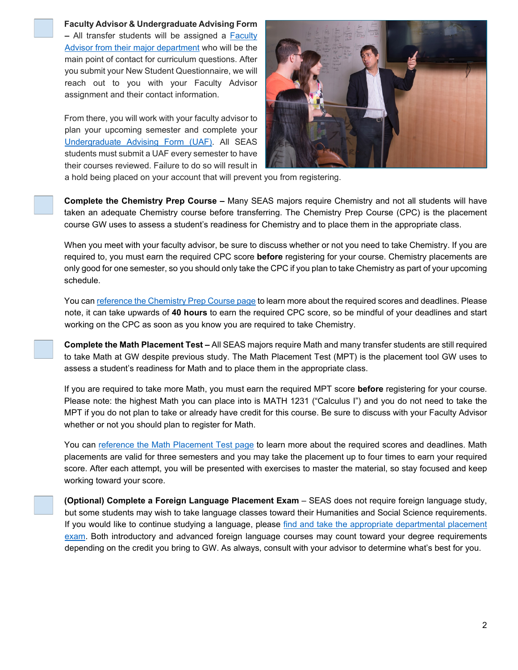

## **Faculty Advisor & Undergraduate Advising Form**

**–** All transfer students will be assigned a [Faculty](https://www.seas.gwu.edu/meet-your-academic-advisor)  [Advisor from their major department](https://www.seas.gwu.edu/meet-your-academic-advisor) who will be the main point of contact for curriculum questions. After you submit your New Student Questionnaire, we will reach out to you with your Faculty Advisor assignment and their contact information.

From there, you will work with your faculty advisor to plan your upcoming semester and complete your [Undergraduate Advising Form \(UAF\).](https://www.seas.gwu.edu/forms/submit) All SEAS students must submit a UAF every semester to have their courses reviewed. Failure to do so will result in



a hold being placed on your account that will prevent you from registering.

**Complete the Chemistry Prep Course –** Many SEAS majors require Chemistry and not all students will have taken an adequate Chemistry course before transferring. The Chemistry Prep Course (CPC) is the placement course GW uses to assess a student's readiness for Chemistry and to place them in the appropriate class.

When you meet with your faculty advisor, be sure to discuss whether or not you need to take Chemistry. If you are required to, you must earn the required CPC score **before** registering for your course. Chemistry placements are only good for one semester, so you should only take the CPC if you plan to take Chemistry as part of your upcoming schedule.

You can [reference the Chemistry Prep Course page](https://chemistry.columbian.gwu.edu/aleks-chemistry-prep-course) to learn more about the required scores and deadlines. Please note, it can take upwards of **40 hours** to earn the required CPC score, so be mindful of your deadlines and start working on the CPC as soon as you know you are required to take Chemistry.

**Complete the Math Placement Test –** All SEAS majors require Math and many transfer students are still required to take Math at GW despite previous study. The Math Placement Test (MPT) is the placement tool GW uses to assess a student's readiness for Math and to place them in the appropriate class.

If you are required to take more Math, you must earn the required MPT score **before** registering for your course. Please note: the highest Math you can place into is MATH 1231 ("Calculus I") and you do not need to take the MPT if you do not plan to take or already have credit for this course. Be sure to discuss with your Faculty Advisor whether or not you should plan to register for Math.

You can [reference the Math Placement Test page](https://math.columbian.gwu.edu/aleks-math-placement-test) to learn more about the required scores and deadlines. Math placements are valid for three semesters and you may take the placement up to four times to earn your required score. After each attempt, you will be presented with exercises to master the material, so stay focused and keep working toward your score.

**(Optional) Complete a Foreign Language Placement Exam** – SEAS does not require foreign language study, but some students may wish to take language classes toward their Humanities and Social Science requirements. If you would like to continue studying a language, please [find and take the appropriate departmental placement](https://languagecenter.columbian.gwu.edu/foreign-language-placement-exams)  [exam.](https://languagecenter.columbian.gwu.edu/foreign-language-placement-exams) Both introductory and advanced foreign language courses may count toward your degree requirements depending on the credit you bring to GW. As always, consult with your advisor to determine what's best for you.